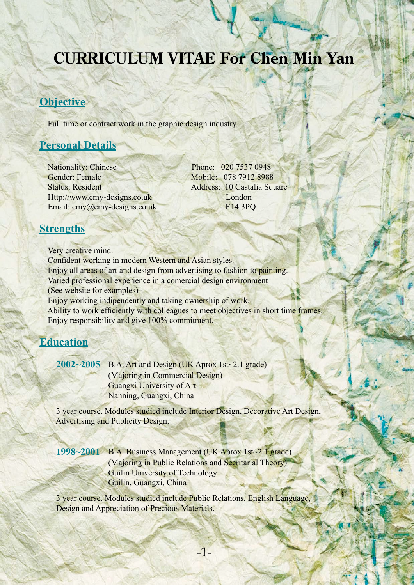# **CURRICULUM VITAE For Chen Min Yan**

### **Objective**

Full time or contract work in the graphic design industry.

# **Personal Details**

Nationality: Chinese Phone: 020 7537 0948 Gender: Female Mobile: 078 7912 8988 Status: Resident Address: 10 Castalia Square Http://www.cmy-designs.co.uk London Email: cmy@cmy-designs.co.uk E14 3PQ

#### **Strengths**

 Very creative mind. Confident working in modern Western and Asian styles. Enjoy all areas of art and design from advertising to fashion to painting. Varied professional experience in a comercial design environment (See website for examples) Enjoy working indipendently and taking ownership of work. Ability to work efficiently with colleagues to meet objectives in short time frames. Enjoy responsibility and give 100% commitment.

#### **Education**

 **2002~2005** B.A. Art and Design (UK Aprox 1st~2.1 grade) (Majoring in Commercial Design) Guangxi University of Art Nanning, Guangxi, China

 3 year course. Modules studied include Interior Design, Decorative Art Design, Advertising and Publicity Design.

 **1998~2001** B.A. Business Management (UK Aprox 1st~2.1 grade) (Majoring in Public Relations and Secritarial Theory) Guilin University of Technology Guilin, Guangxi, China

 3 year course. Modules studied include Public Relations, English Language, Design and Appreciation of Precious Materials.